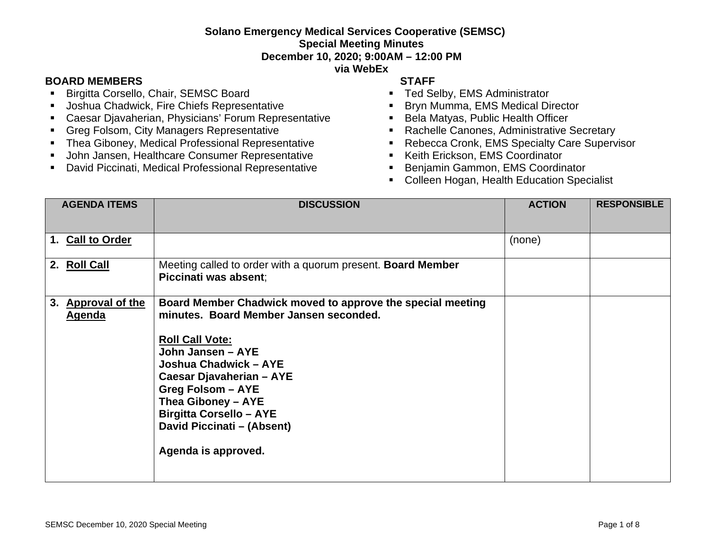## **Solano Emergency Medical Services Cooperative (SEMSC) Special Meeting Minutes December 10, 2020; 9:00AM – 12:00 PM**

#### **via WebEx**

### **BOARD MEMBERS STAFF**

- **Birgitta Corsello, Chair, SEMSC Board**
- **Joshua Chadwick, Fire Chiefs Representative**
- Caesar Djavaherian, Physicians' Forum Representative
- **Greg Folsom, City Managers Representative**
- **Thea Giboney, Medical Professional Representative**
- **John Jansen, Healthcare Consumer Representative**
- David Piccinati, Medical Professional Representative

- **Ted Selby, EMS Administrator**
- **Bryn Mumma, EMS Medical Director**
- Bela Matyas, Public Health Officer
- Rachelle Canones, Administrative Secretary
- **Rebecca Cronk, EMS Specialty Care Supervisor**
- **Keith Erickson, EMS Coordinator**
- Benjamin Gammon, EMS Coordinator
- **EXECOLLEEN Hogan, Health Education Specialist**

| <b>AGENDA ITEMS</b>                 | <b>DISCUSSION</b>                                                                                                                                                                                                                                                                                                                                 | <b>ACTION</b> | <b>RESPONSIBLE</b> |
|-------------------------------------|---------------------------------------------------------------------------------------------------------------------------------------------------------------------------------------------------------------------------------------------------------------------------------------------------------------------------------------------------|---------------|--------------------|
| 1. Call to Order                    |                                                                                                                                                                                                                                                                                                                                                   | (none)        |                    |
| 2. Roll Call                        | Meeting called to order with a quorum present. Board Member<br>Piccinati was absent;                                                                                                                                                                                                                                                              |               |                    |
| 3. Approval of the<br><b>Agenda</b> | Board Member Chadwick moved to approve the special meeting<br>minutes. Board Member Jansen seconded.<br><b>Roll Call Vote:</b><br>John Jansen - AYE<br>Joshua Chadwick - AYE<br>Caesar Djavaherian - AYE<br><b>Greg Folsom - AYE</b><br>Thea Giboney - AYE<br><b>Birgitta Corsello - AYE</b><br>David Piccinati - (Absent)<br>Agenda is approved. |               |                    |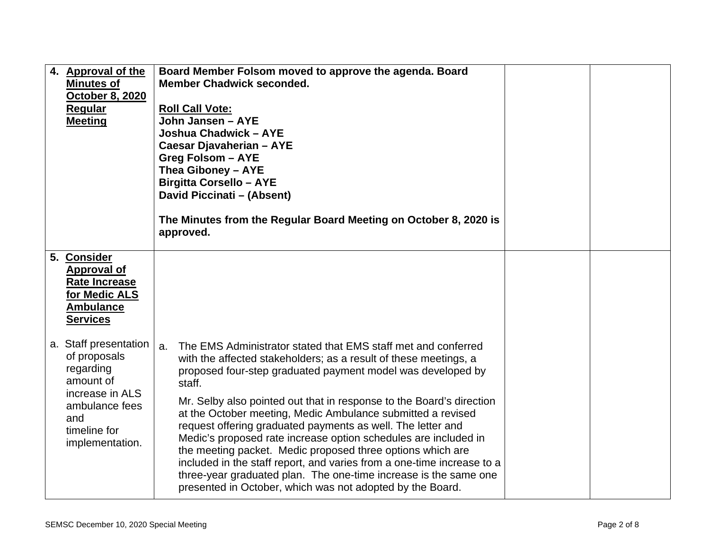| 4. Approval of the<br><b>Minutes of</b><br>October 8, 2020<br><b>Regular</b><br><b>Meeting</b>                                                 | Board Member Folsom moved to approve the agenda. Board<br><b>Member Chadwick seconded.</b><br><b>Roll Call Vote:</b><br>John Jansen - AYE<br>Joshua Chadwick - AYE<br>Caesar Djavaherian - AYE<br><b>Greg Folsom - AYE</b><br>Thea Giboney - AYE<br><b>Birgitta Corsello - AYE</b><br>David Piccinati - (Absent)<br>The Minutes from the Regular Board Meeting on October 8, 2020 is<br>approved.                                                                                                                                                                                                                                                                                                                                                                  |  |
|------------------------------------------------------------------------------------------------------------------------------------------------|--------------------------------------------------------------------------------------------------------------------------------------------------------------------------------------------------------------------------------------------------------------------------------------------------------------------------------------------------------------------------------------------------------------------------------------------------------------------------------------------------------------------------------------------------------------------------------------------------------------------------------------------------------------------------------------------------------------------------------------------------------------------|--|
| 5. Consider<br><b>Approval of</b><br><b>Rate Increase</b><br>for Medic ALS<br><b>Ambulance</b><br><b>Services</b>                              |                                                                                                                                                                                                                                                                                                                                                                                                                                                                                                                                                                                                                                                                                                                                                                    |  |
| a. Staff presentation<br>of proposals<br>regarding<br>amount of<br>increase in ALS<br>ambulance fees<br>and<br>timeline for<br>implementation. | The EMS Administrator stated that EMS staff met and conferred<br>a.<br>with the affected stakeholders; as a result of these meetings, a<br>proposed four-step graduated payment model was developed by<br>staff.<br>Mr. Selby also pointed out that in response to the Board's direction<br>at the October meeting, Medic Ambulance submitted a revised<br>request offering graduated payments as well. The letter and<br>Medic's proposed rate increase option schedules are included in<br>the meeting packet. Medic proposed three options which are<br>included in the staff report, and varies from a one-time increase to a<br>three-year graduated plan. The one-time increase is the same one<br>presented in October, which was not adopted by the Board. |  |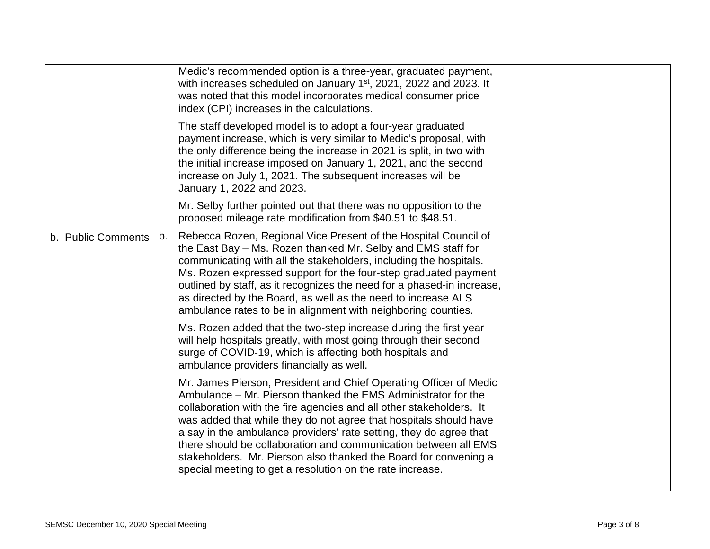|                    | Medic's recommended option is a three-year, graduated payment,<br>with increases scheduled on January 1 <sup>st</sup> , 2021, 2022 and 2023. It<br>was noted that this model incorporates medical consumer price<br>index (CPI) increases in the calculations.                                                                                                                                                                                                                                                                                           |  |
|--------------------|----------------------------------------------------------------------------------------------------------------------------------------------------------------------------------------------------------------------------------------------------------------------------------------------------------------------------------------------------------------------------------------------------------------------------------------------------------------------------------------------------------------------------------------------------------|--|
|                    | The staff developed model is to adopt a four-year graduated<br>payment increase, which is very similar to Medic's proposal, with<br>the only difference being the increase in 2021 is split, in two with<br>the initial increase imposed on January 1, 2021, and the second<br>increase on July 1, 2021. The subsequent increases will be<br>January 1, 2022 and 2023.                                                                                                                                                                                   |  |
|                    | Mr. Selby further pointed out that there was no opposition to the<br>proposed mileage rate modification from \$40.51 to \$48.51.                                                                                                                                                                                                                                                                                                                                                                                                                         |  |
| b. Public Comments | Rebecca Rozen, Regional Vice Present of the Hospital Council of<br>b.<br>the East Bay – Ms. Rozen thanked Mr. Selby and EMS staff for<br>communicating with all the stakeholders, including the hospitals.<br>Ms. Rozen expressed support for the four-step graduated payment<br>outlined by staff, as it recognizes the need for a phased-in increase,<br>as directed by the Board, as well as the need to increase ALS<br>ambulance rates to be in alignment with neighboring counties.                                                                |  |
|                    | Ms. Rozen added that the two-step increase during the first year<br>will help hospitals greatly, with most going through their second<br>surge of COVID-19, which is affecting both hospitals and<br>ambulance providers financially as well.                                                                                                                                                                                                                                                                                                            |  |
|                    | Mr. James Pierson, President and Chief Operating Officer of Medic<br>Ambulance – Mr. Pierson thanked the EMS Administrator for the<br>collaboration with the fire agencies and all other stakeholders. It<br>was added that while they do not agree that hospitals should have<br>a say in the ambulance providers' rate setting, they do agree that<br>there should be collaboration and communication between all EMS<br>stakeholders. Mr. Pierson also thanked the Board for convening a<br>special meeting to get a resolution on the rate increase. |  |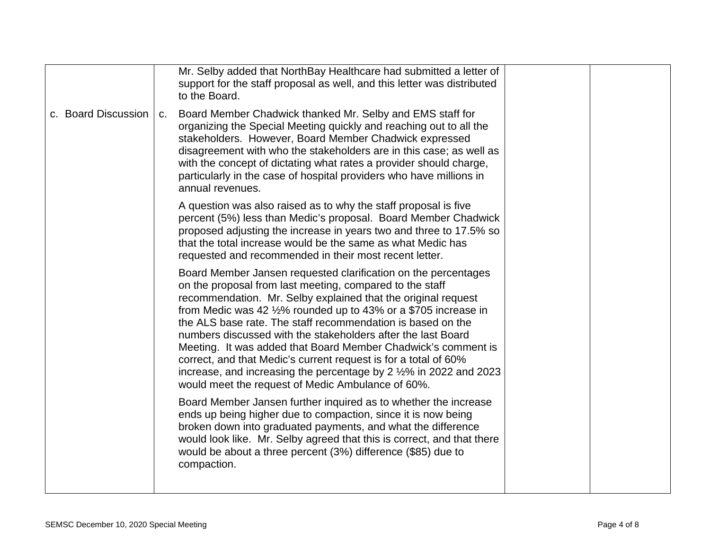|                     |                | Mr. Selby added that NorthBay Healthcare had submitted a letter of<br>support for the staff proposal as well, and this letter was distributed<br>to the Board.                                                                                                                                                                                                                                                                                                                                                                                                                                                                                                          |  |
|---------------------|----------------|-------------------------------------------------------------------------------------------------------------------------------------------------------------------------------------------------------------------------------------------------------------------------------------------------------------------------------------------------------------------------------------------------------------------------------------------------------------------------------------------------------------------------------------------------------------------------------------------------------------------------------------------------------------------------|--|
| c. Board Discussion | C <sub>1</sub> | Board Member Chadwick thanked Mr. Selby and EMS staff for<br>organizing the Special Meeting quickly and reaching out to all the<br>stakeholders. However, Board Member Chadwick expressed<br>disagreement with who the stakeholders are in this case; as well as<br>with the concept of dictating what rates a provider should charge,<br>particularly in the case of hospital providers who have millions in<br>annual revenues.                                                                                                                                                                                                                                       |  |
|                     |                | A question was also raised as to why the staff proposal is five<br>percent (5%) less than Medic's proposal. Board Member Chadwick<br>proposed adjusting the increase in years two and three to 17.5% so<br>that the total increase would be the same as what Medic has<br>requested and recommended in their most recent letter.                                                                                                                                                                                                                                                                                                                                        |  |
|                     |                | Board Member Jansen requested clarification on the percentages<br>on the proposal from last meeting, compared to the staff<br>recommendation. Mr. Selby explained that the original request<br>from Medic was 42 $\frac{1}{2}\%$ rounded up to 43% or a \$705 increase in<br>the ALS base rate. The staff recommendation is based on the<br>numbers discussed with the stakeholders after the last Board<br>Meeting. It was added that Board Member Chadwick's comment is<br>correct, and that Medic's current request is for a total of 60%<br>increase, and increasing the percentage by 2 1/2% in 2022 and 2023<br>would meet the request of Medic Ambulance of 60%. |  |
|                     |                | Board Member Jansen further inquired as to whether the increase<br>ends up being higher due to compaction, since it is now being<br>broken down into graduated payments, and what the difference<br>would look like. Mr. Selby agreed that this is correct, and that there<br>would be about a three percent (3%) difference (\$85) due to<br>compaction.                                                                                                                                                                                                                                                                                                               |  |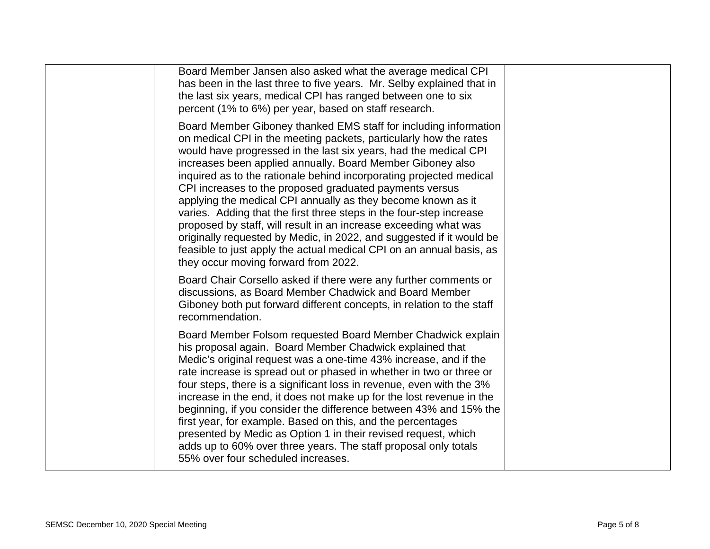| Board Member Jansen also asked what the average medical CPI<br>has been in the last three to five years. Mr. Selby explained that in<br>the last six years, medical CPI has ranged between one to six<br>percent (1% to 6%) per year, based on staff research.                                                                                                                                                                                                                                                                                                                                                                                                                                                                                                                                               |  |
|--------------------------------------------------------------------------------------------------------------------------------------------------------------------------------------------------------------------------------------------------------------------------------------------------------------------------------------------------------------------------------------------------------------------------------------------------------------------------------------------------------------------------------------------------------------------------------------------------------------------------------------------------------------------------------------------------------------------------------------------------------------------------------------------------------------|--|
| Board Member Giboney thanked EMS staff for including information<br>on medical CPI in the meeting packets, particularly how the rates<br>would have progressed in the last six years, had the medical CPI<br>increases been applied annually. Board Member Giboney also<br>inquired as to the rationale behind incorporating projected medical<br>CPI increases to the proposed graduated payments versus<br>applying the medical CPI annually as they become known as it<br>varies. Adding that the first three steps in the four-step increase<br>proposed by staff, will result in an increase exceeding what was<br>originally requested by Medic, in 2022, and suggested if it would be<br>feasible to just apply the actual medical CPI on an annual basis, as<br>they occur moving forward from 2022. |  |
| Board Chair Corsello asked if there were any further comments or<br>discussions, as Board Member Chadwick and Board Member<br>Giboney both put forward different concepts, in relation to the staff<br>recommendation.                                                                                                                                                                                                                                                                                                                                                                                                                                                                                                                                                                                       |  |
| Board Member Folsom requested Board Member Chadwick explain<br>his proposal again. Board Member Chadwick explained that<br>Medic's original request was a one-time 43% increase, and if the<br>rate increase is spread out or phased in whether in two or three or<br>four steps, there is a significant loss in revenue, even with the 3%<br>increase in the end, it does not make up for the lost revenue in the<br>beginning, if you consider the difference between 43% and 15% the<br>first year, for example. Based on this, and the percentages<br>presented by Medic as Option 1 in their revised request, which<br>adds up to 60% over three years. The staff proposal only totals<br>55% over four scheduled increases.                                                                            |  |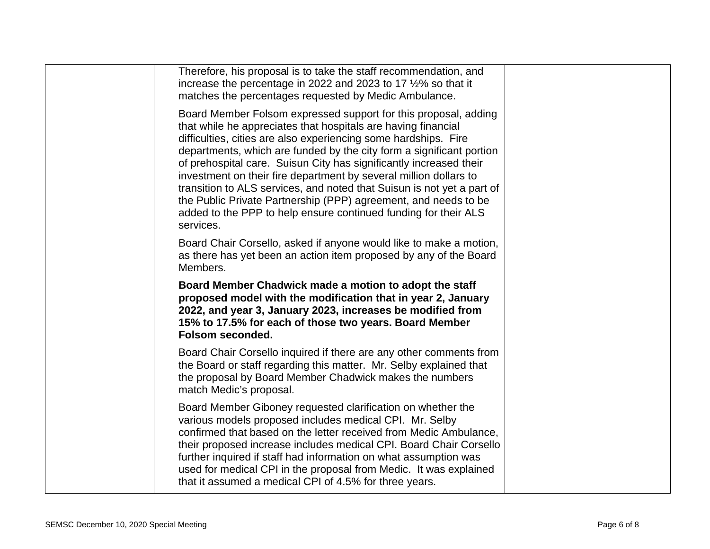| Therefore, his proposal is to take the staff recommendation, and<br>increase the percentage in 2022 and 2023 to 17 1/2% so that it<br>matches the percentages requested by Medic Ambulance.                                                                                                                                                                                                                                                                                                                                                                                                                                                         |  |
|-----------------------------------------------------------------------------------------------------------------------------------------------------------------------------------------------------------------------------------------------------------------------------------------------------------------------------------------------------------------------------------------------------------------------------------------------------------------------------------------------------------------------------------------------------------------------------------------------------------------------------------------------------|--|
| Board Member Folsom expressed support for this proposal, adding<br>that while he appreciates that hospitals are having financial<br>difficulties, cities are also experiencing some hardships. Fire<br>departments, which are funded by the city form a significant portion<br>of prehospital care. Suisun City has significantly increased their<br>investment on their fire department by several million dollars to<br>transition to ALS services, and noted that Suisun is not yet a part of<br>the Public Private Partnership (PPP) agreement, and needs to be<br>added to the PPP to help ensure continued funding for their ALS<br>services. |  |
| Board Chair Corsello, asked if anyone would like to make a motion,<br>as there has yet been an action item proposed by any of the Board<br>Members.                                                                                                                                                                                                                                                                                                                                                                                                                                                                                                 |  |
| Board Member Chadwick made a motion to adopt the staff<br>proposed model with the modification that in year 2, January<br>2022, and year 3, January 2023, increases be modified from<br>15% to 17.5% for each of those two years. Board Member<br>Folsom seconded.                                                                                                                                                                                                                                                                                                                                                                                  |  |
| Board Chair Corsello inquired if there are any other comments from<br>the Board or staff regarding this matter. Mr. Selby explained that                                                                                                                                                                                                                                                                                                                                                                                                                                                                                                            |  |
| the proposal by Board Member Chadwick makes the numbers<br>match Medic's proposal.                                                                                                                                                                                                                                                                                                                                                                                                                                                                                                                                                                  |  |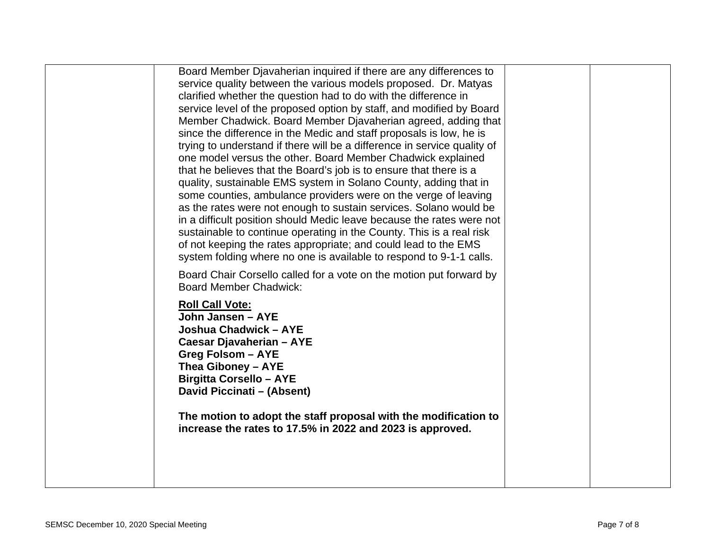| Board Member Djavaherian inquired if there are any differences to<br>service quality between the various models proposed. Dr. Matyas<br>clarified whether the question had to do with the difference in<br>service level of the proposed option by staff, and modified by Board<br>Member Chadwick. Board Member Djavaherian agreed, adding that<br>since the difference in the Medic and staff proposals is low, he is<br>trying to understand if there will be a difference in service quality of<br>one model versus the other. Board Member Chadwick explained<br>that he believes that the Board's job is to ensure that there is a<br>quality, sustainable EMS system in Solano County, adding that in<br>some counties, ambulance providers were on the verge of leaving<br>as the rates were not enough to sustain services. Solano would be<br>in a difficult position should Medic leave because the rates were not<br>sustainable to continue operating in the County. This is a real risk<br>of not keeping the rates appropriate; and could lead to the EMS<br>system folding where no one is available to respond to 9-1-1 calls. |  |
|-------------------------------------------------------------------------------------------------------------------------------------------------------------------------------------------------------------------------------------------------------------------------------------------------------------------------------------------------------------------------------------------------------------------------------------------------------------------------------------------------------------------------------------------------------------------------------------------------------------------------------------------------------------------------------------------------------------------------------------------------------------------------------------------------------------------------------------------------------------------------------------------------------------------------------------------------------------------------------------------------------------------------------------------------------------------------------------------------------------------------------------------------|--|
| Board Chair Corsello called for a vote on the motion put forward by<br><b>Board Member Chadwick:</b><br><b>Roll Call Vote:</b><br>John Jansen - AYE<br>Joshua Chadwick - AYE<br>Caesar Djavaherian - AYE<br><b>Greg Folsom - AYE</b><br>Thea Giboney - AYE<br><b>Birgitta Corsello - AYE</b><br>David Piccinati - (Absent)<br>The motion to adopt the staff proposal with the modification to<br>increase the rates to 17.5% in 2022 and 2023 is approved.                                                                                                                                                                                                                                                                                                                                                                                                                                                                                                                                                                                                                                                                                      |  |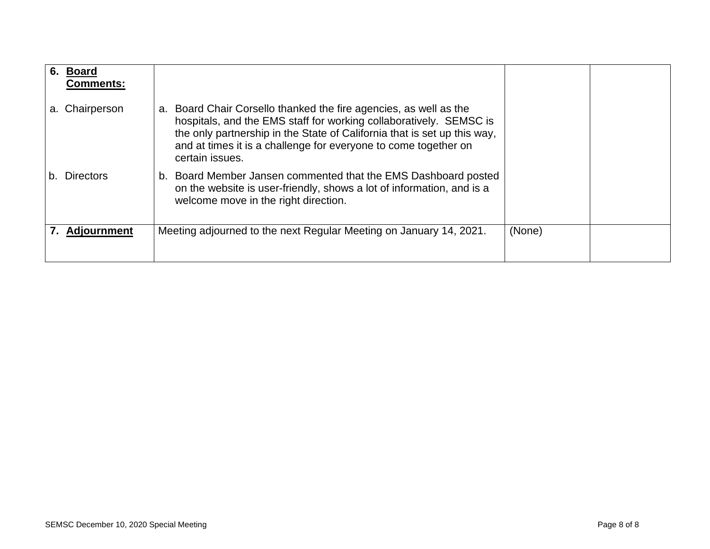| 6. | Board<br><b>Comments:</b> |                                                                                                                                                                                                                                                                                                              |        |  |
|----|---------------------------|--------------------------------------------------------------------------------------------------------------------------------------------------------------------------------------------------------------------------------------------------------------------------------------------------------------|--------|--|
| a. | Chairperson               | Board Chair Corsello thanked the fire agencies, as well as the<br>a.<br>hospitals, and the EMS staff for working collaboratively. SEMSC is<br>the only partnership in the State of California that is set up this way,<br>and at times it is a challenge for everyone to come together on<br>certain issues. |        |  |
| b. | Directors                 | b. Board Member Jansen commented that the EMS Dashboard posted<br>on the website is user-friendly, shows a lot of information, and is a<br>welcome move in the right direction.                                                                                                                              |        |  |
|    | <b>Adjournment</b>        | Meeting adjourned to the next Regular Meeting on January 14, 2021.                                                                                                                                                                                                                                           | (None) |  |